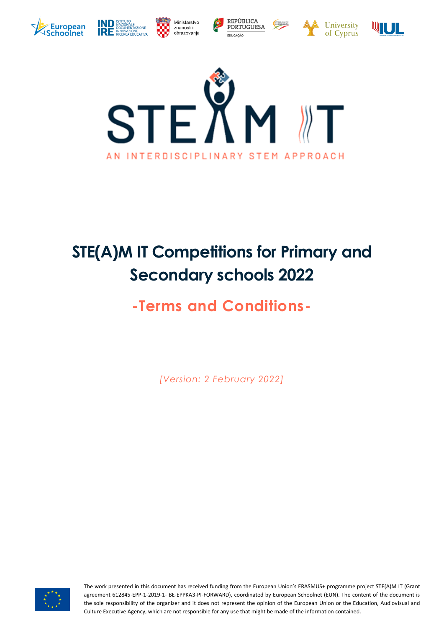













# **STE(A)M IT Competitions for Primary and Secondary schools 2022**

# **-Terms and Conditions-**

*[Version: 2 February 2022]*



The work presented in this document has received funding from the European Union's ERASMUS+ programme project STE(A)M IT (Grant agreement 612845-EPP-1-2019-1- BE-EPPKA3-PI-FORWARD), coordinated by European Schoolnet (EUN). The content of the document is the sole responsibility of the organizer and it does not represent the opinion of the European Union or the Education, Audiovisual and Culture Executive Agency, which are not responsible for any use that might be made of the information contained.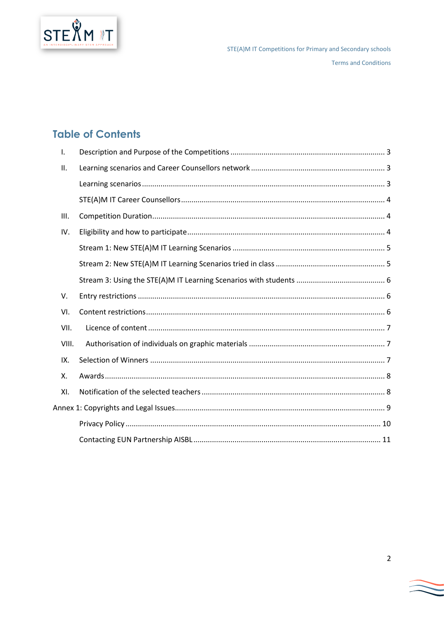

### **Table of Contents**

| Ι.    |  |
|-------|--|
| ΙΙ.   |  |
|       |  |
|       |  |
| III.  |  |
| IV.   |  |
|       |  |
|       |  |
|       |  |
| V.    |  |
| VI.   |  |
| VII.  |  |
| VIII. |  |
| IX.   |  |
| Χ.    |  |
| XI.   |  |
|       |  |
|       |  |
|       |  |

 $\overline{2}$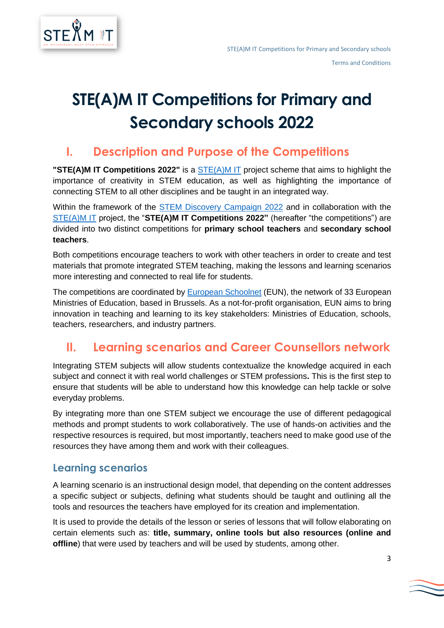

# **STE(A)M IT Competitions for Primary and Secondary schools 2022**

## <span id="page-2-0"></span>**I. Description and Purpose of the Competitions**

**"[STE\(A\)M IT](http://steamit.eun.org/) Competitions 2022"** is a **STE(A)M IT** project scheme that aims to highlight the importance of creativity in STEM education, as well as highlighting the importance of connecting STEM to all other disciplines and be taught in an integrated way.

Within the framework of the [STEM Discovery Campaign 2022](http://www.scientix.eu/events/campaigns/sdc22/) and in collaboration with the [STE\(A\)M IT](http://steamit.eun.org/) project, the "**STE(A)M IT Competitions 2022"** (hereafter "the competitions") are divided into two distinct competitions for **primary school teachers** and **secondary school teachers**.

Both competitions encourage teachers to work with other teachers in order to create and test materials that promote integrated STEM teaching, making the lessons and learning scenarios more interesting and connected to real life for students.

The competitions are coordinated by [European Schoolnet](http://www.eun.org/) (EUN), the network of 33 European Ministries of Education, based in Brussels. As a not-for-profit organisation, EUN aims to bring innovation in teaching and learning to its key stakeholders: Ministries of Education, schools, teachers, researchers, and industry partners.

# <span id="page-2-1"></span>**II. Learning scenarios and Career Counsellors network**

Integrating STEM subjects will allow students contextualize the knowledge acquired in each subject and connect it with real world challenges or STEM professions**.** This is the first step to ensure that students will be able to understand how this knowledge can help tackle or solve everyday problems.

By integrating more than one STEM subject we encourage the use of different pedagogical methods and prompt students to work collaboratively. The use of hands-on activities and the respective resources is required, but most importantly, teachers need to make good use of the resources they have among them and work with their colleagues.

### <span id="page-2-2"></span>**Learning scenarios**

A learning scenario is an instructional design model, that depending on the content addresses a specific subject or subjects, defining what students should be taught and outlining all the tools and resources the teachers have employed for its creation and implementation.

It is used to provide the details of the lesson or series of lessons that will follow elaborating on certain elements such as: **title, summary, online tools but also resources (online and offline**) that were used by teachers and will be used by students, among other.

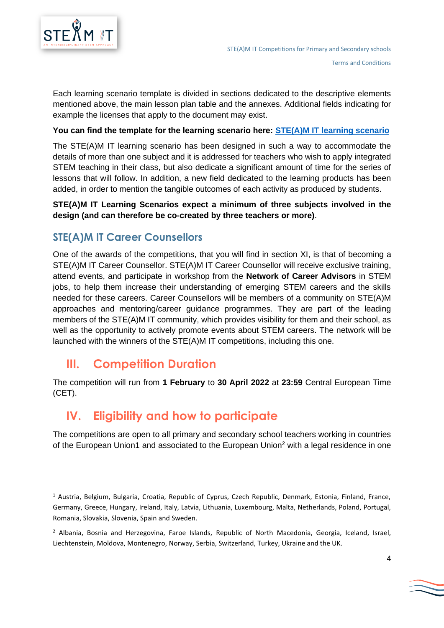

Each learning scenario template is divided in sections dedicated to the descriptive elements mentioned above, the main lesson plan table and the annexes. Additional fields indicating for example the licenses that apply to the document may exist.

#### **You can find the template for the learning scenario here: [STE\(A\)M IT learning scenario](http://files.eun.org/scientix/STE(A)MIT_Master_LS_Final.docx)**

The STE(A)M IT learning scenario has been designed in such a way to accommodate the details of more than one subject and it is addressed for teachers who wish to apply integrated STEM teaching in their class, but also dedicate a significant amount of time for the series of lessons that will follow. In addition, a new field dedicated to the learning products has been added, in order to mention the tangible outcomes of each activity as produced by students.

#### **STE(A)M IT Learning Scenarios expect a minimum of three subjects involved in the design (and can therefore be co-created by three teachers or more)**.

### <span id="page-3-0"></span>**STE(A)M IT Career Counsellors**

One of the awards of the competitions, that you will find in section XI, is that of becoming a STE(A)M IT Career Counsellor. STE(A)M IT Career Counsellor will receive exclusive training, attend events, and participate in workshop from the **Network of Career Advisors** in STEM jobs, to help them increase their understanding of emerging STEM careers and the skills needed for these careers. Career Counsellors will be members of a community on STE(A)M approaches and mentoring/career guidance programmes. They are part of the leading members of the STE(A)M IT community, which provides visibility for them and their school, as well as the opportunity to actively promote events about STEM careers. The network will be launched with the winners of the STE(A)M IT competitions, including this one.

### <span id="page-3-1"></span>**III. Competition Duration**

The competition will run from **1 February** to **30 April 2022** at **23:59** Central European Time (CET).

### <span id="page-3-2"></span>**IV. Eligibility and how to participate**

The competitions are open to all primary and secondary school teachers working in countries of the European Union1 and associated to the European Union<sup>2</sup> with a legal residence in one

<sup>1</sup> Austria, Belgium, Bulgaria, Croatia, Republic of Cyprus, Czech Republic, Denmark, Estonia, Finland, France, Germany, Greece, Hungary, Ireland, Italy, Latvia, Lithuania, Luxembourg, Malta, Netherlands, Poland, Portugal, Romania, Slovakia, Slovenia, Spain and Sweden.

<sup>&</sup>lt;sup>2</sup> Albania, Bosnia and Herzegovina, Faroe Islands, Republic of North Macedonia, Georgia, Iceland, Israel, Liechtenstein, Moldova, Montenegro, Norway, Serbia, Switzerland, Turkey, Ukraine and the UK.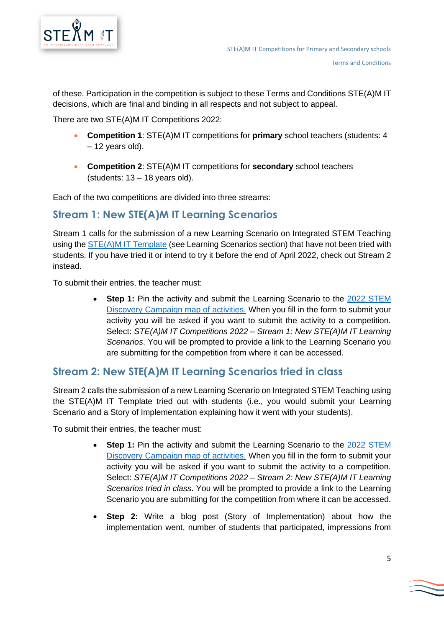

of these. Participation in the competition is subject to these Terms and Conditions STE(A)M IT decisions, which are final and binding in all respects and not subject to appeal.

There are two STE(A)M IT Competitions 2022:

- **Competition 1**: STE(A)M IT competitions for **primary** school teachers (students: 4 – 12 years old).
- **Competition 2**: STE(A)M IT competitions for **secondary** school teachers (students: 13 – 18 years old).

Each of the two competitions are divided into three streams:

### <span id="page-4-0"></span>**Stream 1: New STE(A)M IT Learning Scenarios**

Stream 1 calls for the submission of a new Learning Scenario on Integrated STEM Teaching using th[e STE\(A\)M IT Template](files.eun.org/scientix/STE(A)MIT_Master_LS_Final.docx) (see Learning Scenarios section) that have not been tried with students. If you have tried it or intend to try it before the end of April 2022, check out Stream 2 instead.

To submit their entries, the teacher must:

• **Step 1:** Pin the activity and submit the Learning Scenario to the 2022 [STEM](http://www.scientix.eu/events/campaigns/sdc22/#map)  [Discovery Campaign map of activities.](http://www.scientix.eu/events/campaigns/sdc22/#map) When you fill in the form to submit your activity you will be asked if you want to submit the activity to a competition. Select: *STE(A)M IT Competitions 2022 – Stream 1: New STE(A)M IT Learning Scenarios*. You will be prompted to provide a link to the Learning Scenario you are submitting for the competition from where it can be accessed.

### <span id="page-4-1"></span>**Stream 2: New STE(A)M IT Learning Scenarios tried in class**

Stream 2 calls the submission of a new Learning Scenario on Integrated STEM Teaching using the STE(A)M IT Template tried out with students (i.e., you would submit your Learning Scenario and a Story of Implementation explaining how it went with your students).

To submit their entries, the teacher must:

- **Step 1:** Pin the activity and submit the Learning Scenario to the 2022 STEM [Discovery Campaign map of activities.](http://www.scientix.eu/events/campaigns/sdc22/#map) When you fill in the form to submit your activity you will be asked if you want to submit the activity to a competition. Select: *STE(A)M IT Competitions 2022 – Stream 2: New STE(A)M IT Learning Scenarios tried in class*. You will be prompted to provide a link to the Learning Scenario you are submitting for the competition from where it can be accessed.
- **Step 2:** Write a blog post (Story of Implementation) about how the implementation went, number of students that participated, impressions from

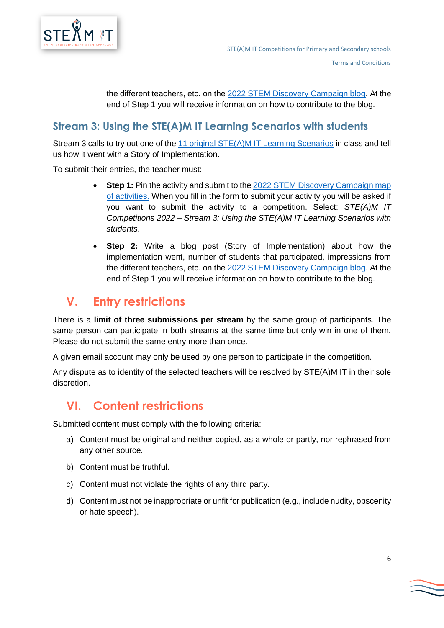

the different teachers, etc. on the 2022 [STEM Discovery Campaign blog.](https://sdw-blog.eun.org/) At the end of Step 1 you will receive information on how to contribute to the blog.

### <span id="page-5-0"></span>**Stream 3: Using the STE(A)M IT Learning Scenarios with students**

Stream 3 calls to try out one of the [11 original STE\(A\)M IT Learning Scenarios](http://www.scientix.eu/web/guest/projects/project-detail?articleId=884972) in class and tell us how it went with a Story of Implementation.

To submit their entries, the teacher must:

- **Step 1:** Pin the activity and submit to the 2022 STEM Discovery Campaign map [of activities.](http://www.scientix.eu/events/campaigns/sdc22/#map) When you fill in the form to submit your activity you will be asked if you want to submit the activity to a competition. Select: *STE(A)M IT Competitions 2022 – Stream 3: Using the STE(A)M IT Learning Scenarios with students*.
- **Step 2:** Write a blog post (Story of Implementation) about how the implementation went, number of students that participated, impressions from the different teachers, etc. on the 2022 [STEM Discovery Campaign blog.](https://sdw-blog.eun.org/) At the end of Step 1 you will receive information on how to contribute to the blog.

# <span id="page-5-1"></span>**V. Entry restrictions**

There is a **limit of three submissions per stream** by the same group of participants. The same person can participate in both streams at the same time but only win in one of them. Please do not submit the same entry more than once.

A given email account may only be used by one person to participate in the competition.

Any dispute as to identity of the selected teachers will be resolved by STE(A)M IT in their sole discretion.

## <span id="page-5-2"></span>**VI. Content restrictions**

Submitted content must comply with the following criteria:

- a) Content must be original and neither copied, as a whole or partly, nor rephrased from any other source.
- b) Content must be truthful.
- c) Content must not violate the rights of any third party.
- d) Content must not be inappropriate or unfit for publication (e.g., include nudity, obscenity or hate speech).

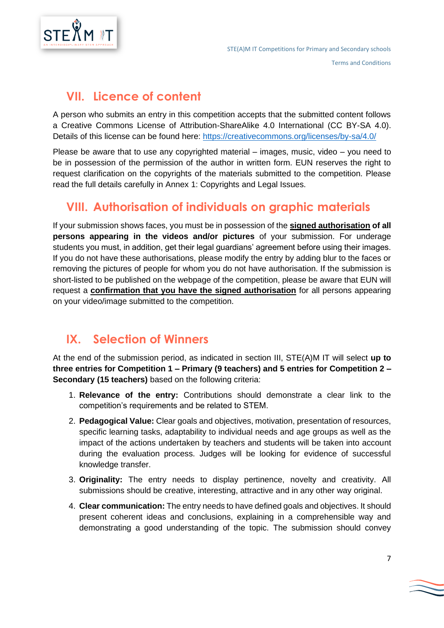

## <span id="page-6-0"></span>**VII. Licence of content**

A person who submits an entry in this competition accepts that the submitted content follows a Creative Commons License of Attribution-ShareAlike 4.0 International (CC BY-SA 4.0). Details of this license can be found here:<https://creativecommons.org/licenses/by-sa/4.0/>

Please be aware that to use any copyrighted material – images, music, video – you need to be in possession of the permission of the author in written form. EUN reserves the right to request clarification on the copyrights of the materials submitted to the competition. Please read the full details carefully in Annex 1: Copyrights and Legal Issues.

# <span id="page-6-1"></span>**VIII. Authorisation of individuals on graphic materials**

If your submission shows faces, you must be in possession of the **signed authorisation of all persons appearing in the videos and/or pictures** of your submission. For underage students you must, in addition, get their legal guardians' agreement before using their images. If you do not have these authorisations, please modify the entry by adding blur to the faces or removing the pictures of people for whom you do not have authorisation. If the submission is short-listed to be published on the webpage of the competition, please be aware that EUN will request a **confirmation that you have the signed authorisation** for all persons appearing on your video/image submitted to the competition.

# <span id="page-6-2"></span>**IX. Selection of Winners**

At the end of the submission period, as indicated in section [III,](#page-3-1) STE(A)M IT will select **up to three entries for Competition 1 – Primary (9 teachers) and 5 entries for Competition 2 – Secondary (15 teachers)** based on the following criteria:

- 1. **Relevance of the entry:** Contributions should demonstrate a clear link to the competition's requirements and be related to STEM.
- 2. **Pedagogical Value:** Clear goals and objectives, motivation, presentation of resources, specific learning tasks, adaptability to individual needs and age groups as well as the impact of the actions undertaken by teachers and students will be taken into account during the evaluation process. Judges will be looking for evidence of successful knowledge transfer.
- 3. **Originality:** The entry needs to display pertinence, novelty and creativity. All submissions should be creative, interesting, attractive and in any other way original.
- 4. **Clear communication:** The entry needs to have defined goals and objectives. It should present coherent ideas and conclusions, explaining in a comprehensible way and demonstrating a good understanding of the topic. The submission should convey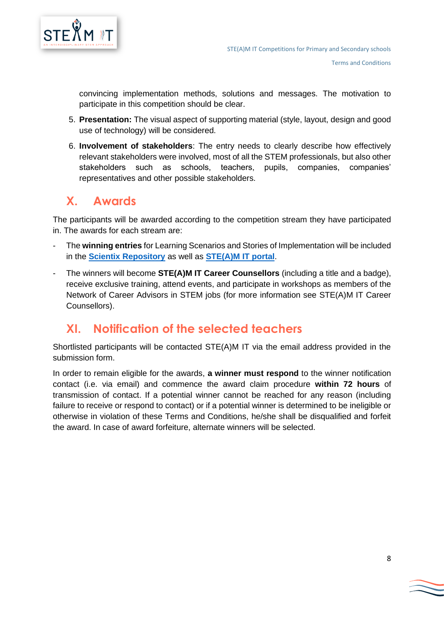

convincing implementation methods, solutions and messages. The motivation to participate in this competition should be clear.

- 5. **Presentation:** The visual aspect of supporting material (style, layout, design and good use of technology) will be considered.
- 6. **Involvement of stakeholders**: The entry needs to clearly describe how effectively relevant stakeholders were involved, most of all the STEM professionals, but also other stakeholders such as schools, teachers, pupils, companies, companies' representatives and other possible stakeholders.

# <span id="page-7-0"></span>**X. Awards**

The participants will be awarded according to the competition stream they have participated in. The awards for each stream are:

- The **winning entries** for Learning Scenarios and Stories of Implementation will be included in the **[Scientix Repository](http://www.scientix.eu/resources)** as well as **[STE\(A\)M IT portal](http://steamit.eun.org/)**.
- The winners will become **STE(A)M IT Career Counsellors** (including a title and a badge), receive exclusive training, attend events, and participate in workshops as members of the Network of Career Advisors in STEM jobs (for more information see [STE\(A\)M IT Career](#page-3-0)  [Counsellors\)](#page-3-0).

## <span id="page-7-1"></span>**XI. Notification of the selected teachers**

Shortlisted participants will be contacted STE(A)M IT via the email address provided in the submission form.

In order to remain eligible for the awards, **a winner must respond** to the winner notification contact (i.e. via email) and commence the award claim procedure **within 72 hours** of transmission of contact. If a potential winner cannot be reached for any reason (including failure to receive or respond to contact) or if a potential winner is determined to be ineligible or otherwise in violation of these Terms and Conditions, he/she shall be disqualified and forfeit the award. In case of award forfeiture, alternate winners will be selected.

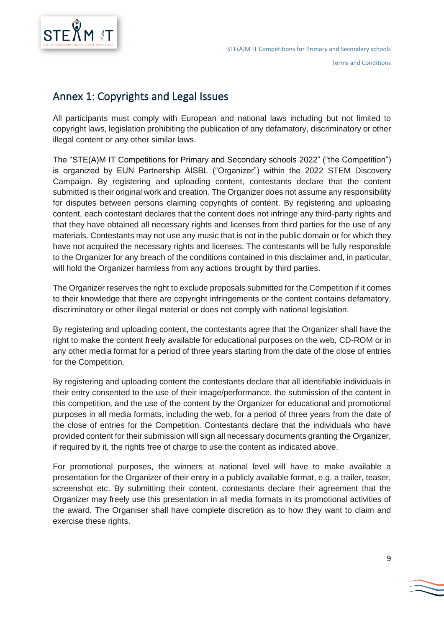

### <span id="page-8-0"></span>Annex 1: Copyrights and Legal Issues

All participants must comply with European and national laws including but not limited to copyright laws, legislation prohibiting the publication of any defamatory, discriminatory or other illegal content or any other similar laws.

The "STE(A)M IT Competitions for Primary and Secondary schools 2022" ("the Competition") is organized by EUN Partnership AISBL ("Organizer") within the 2022 STEM Discovery Campaign. By registering and uploading content, contestants declare that the content submitted is their original work and creation. The Organizer does not assume any responsibility for disputes between persons claiming copyrights of content. By registering and uploading content, each contestant declares that the content does not infringe any third-party rights and that they have obtained all necessary rights and licenses from third parties for the use of any materials. Contestants may not use any music that is not in the public domain or for which they have not acquired the necessary rights and licenses. The contestants will be fully responsible to the Organizer for any breach of the conditions contained in this disclaimer and, in particular, will hold the Organizer harmless from any actions brought by third parties.

The Organizer reserves the right to exclude proposals submitted for the Competition if it comes to their knowledge that there are copyright infringements or the content contains defamatory, discriminatory or other illegal material or does not comply with national legislation.

By registering and uploading content, the contestants agree that the Organizer shall have the right to make the content freely available for educational purposes on the web, CD-ROM or in any other media format for a period of three years starting from the date of the close of entries for the Competition.

By registering and uploading content the contestants declare that all identifiable individuals in their entry consented to the use of their image/performance, the submission of the content in this competition, and the use of the content by the Organizer for educational and promotional purposes in all media formats, including the web, for a period of three years from the date of the close of entries for the Competition. Contestants declare that the individuals who have provided content for their submission will sign all necessary documents granting the Organizer, if required by it, the rights free of charge to use the content as indicated above.

For promotional purposes, the winners at national level will have to make available a presentation for the Organizer of their entry in a publicly available format, e.g. a trailer, teaser, screenshot etc. By submitting their content, contestants declare their agreement that the Organizer may freely use this presentation in all media formats in its promotional activities of the award. The Organiser shall have complete discretion as to how they want to claim and exercise these rights.

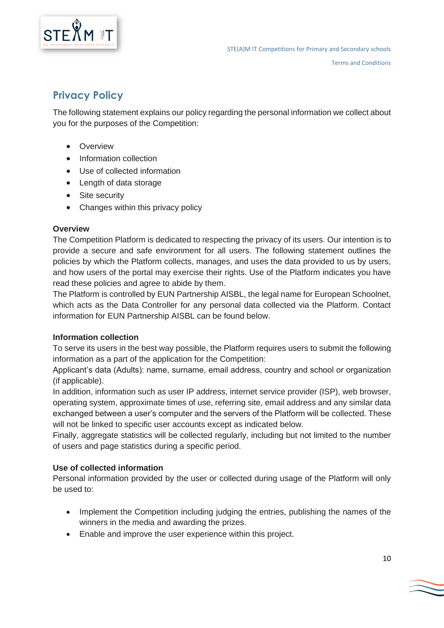

### <span id="page-9-0"></span>**Privacy Policy**

The following statement explains our policy regarding the personal information we collect about you for the purposes of the Competition:

- Overview
- Information collection
- Use of collected information
- Length of data storage
- Site security
- Changes within this privacy policy

#### **Overview**

The Competition Platform is dedicated to respecting the privacy of its users. Our intention is to provide a secure and safe environment for all users. The following statement outlines the policies by which the Platform collects, manages, and uses the data provided to us by users, and how users of the portal may exercise their rights. Use of the Platform indicates you have read these policies and agree to abide by them.

The Platform is controlled by EUN Partnership AISBL, the legal name for European Schoolnet, which acts as the Data Controller for any personal data collected via the Platform. Contact information for EUN Partnership AISBL can be found below.

#### **Information collection**

To serve its users in the best way possible, the Platform requires users to submit the following information as a part of the application for the Competition:

Applicant's data (Adults): name, surname, email address, country and school or organization (if applicable).

In addition, information such as user IP address, internet service provider (ISP), web browser, operating system, approximate times of use, referring site, email address and any similar data exchanged between a user's computer and the servers of the Platform will be collected. These will not be linked to specific user accounts except as indicated below.

Finally, aggregate statistics will be collected regularly, including but not limited to the number of users and page statistics during a specific period.

#### **Use of collected information**

Personal information provided by the user or collected during usage of the Platform will only be used to:

- Implement the Competition including judging the entries, publishing the names of the winners in the media and awarding the prizes.
- Enable and improve the user experience within this project.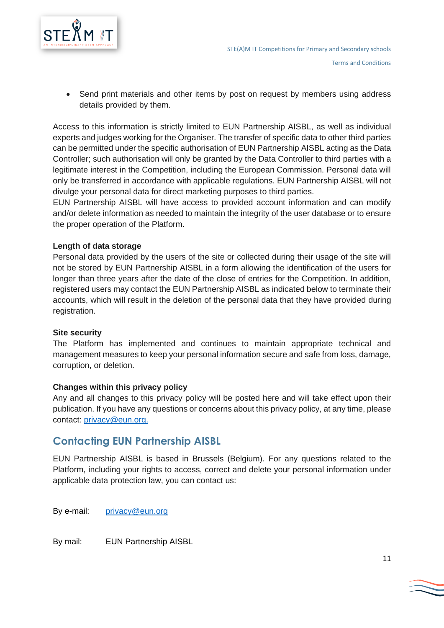

• Send print materials and other items by post on request by members using address details provided by them.

Access to this information is strictly limited to EUN Partnership AISBL, as well as individual experts and judges working for the Organiser. The transfer of specific data to other third parties can be permitted under the specific authorisation of EUN Partnership AISBL acting as the Data Controller; such authorisation will only be granted by the Data Controller to third parties with a legitimate interest in the Competition, including the European Commission. Personal data will only be transferred in accordance with applicable regulations. EUN Partnership AISBL will not divulge your personal data for direct marketing purposes to third parties.

EUN Partnership AISBL will have access to provided account information and can modify and/or delete information as needed to maintain the integrity of the user database or to ensure the proper operation of the Platform.

#### **Length of data storage**

Personal data provided by the users of the site or collected during their usage of the site will not be stored by EUN Partnership AISBL in a form allowing the identification of the users for longer than three years after the date of the close of entries for the Competition. In addition, registered users may contact the EUN Partnership AISBL as indicated below to terminate their accounts, which will result in the deletion of the personal data that they have provided during registration.

#### **Site security**

The Platform has implemented and continues to maintain appropriate technical and management measures to keep your personal information secure and safe from loss, damage, corruption, or deletion.

#### **Changes within this privacy policy**

Any and all changes to this privacy policy will be posted here and will take effect upon their publication. If you have any questions or concerns about this privacy policy, at any time, please contact: [privacy@eun.org.](mailto:privacy@eun.org)

### <span id="page-10-0"></span>**Contacting EUN Partnership AISBL**

EUN Partnership AISBL is based in Brussels (Belgium). For any questions related to the Platform, including your rights to access, correct and delete your personal information under applicable data protection law, you can contact us:

By e-mail: [privacy@eun.org](mailto:privacy@eun.org)

By mail: EUN Partnership AISBL